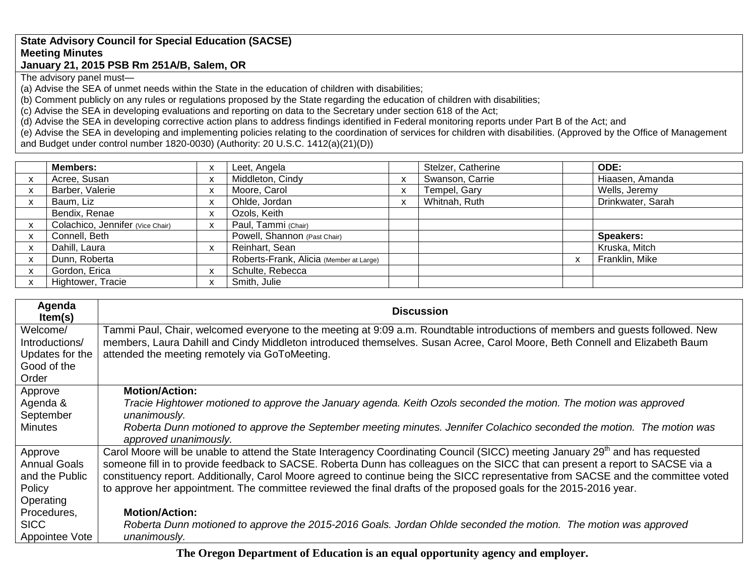## **State Advisory Council for Special Education (SACSE) Meeting Minutes January 21, 2015 PSB Rm 251A/B, Salem, OR**

The advisory panel must—

(a) Advise the SEA of unmet needs within the State in the education of children with disabilities;

(b) Comment publicly on any rules or regulations proposed by the State regarding the education of children with disabilities;

(c) Advise the SEA in developing evaluations and reporting on data to the Secretary under section 618 of the Act;

(d) Advise the SEA in developing corrective action plans to address findings identified in Federal monitoring reports under Part B of the Act; and

(e) Advise the SEA in developing and implementing policies relating to the coordination of services for children with disabilities. (Approved by the Office of Management and Budget under control number 1820-0030) (Authority: 20 U.S.C. 1412(a)(21)(D))

| <b>Members:</b>                  | X            | Leet, Angela                            |           | Stelzer, Catherine | ODE:              |
|----------------------------------|--------------|-----------------------------------------|-----------|--------------------|-------------------|
| Acree, Susan                     | $\mathsf{x}$ | Middleton, Cindy                        |           | Swanson, Carrie    | Hiaasen, Amanda   |
| Barber, Valerie                  | X            | Moore, Carol                            | $\lambda$ | Tempel, Gary       | Wells, Jeremy     |
| Baum, Liz                        | X            | Ohlde, Jordan                           |           | Whitnah, Ruth      | Drinkwater, Sarah |
| Bendix, Renae                    | X            | Ozols, Keith                            |           |                    |                   |
| Colachico, Jennifer (Vice Chair) | X            | Paul, Tammi (Chair)                     |           |                    |                   |
| Connell, Beth                    |              | Powell, Shannon (Past Chair)            |           |                    | <b>Speakers:</b>  |
| Dahill, Laura                    | X            | Reinhart, Sean                          |           |                    | Kruska, Mitch     |
| Dunn, Roberta                    |              | Roberts-Frank, Alicia (Member at Large) |           |                    | Franklin, Mike    |
| Gordon, Erica                    | X            | Schulte, Rebecca                        |           |                    |                   |
| Hightower, Tracie                | X            | Smith, Julie                            |           |                    |                   |

| Agenda<br>Item(s)                 | <b>Discussion</b>                                                                                                                                                            |
|-----------------------------------|------------------------------------------------------------------------------------------------------------------------------------------------------------------------------|
| Welcome/                          | Tammi Paul, Chair, welcomed everyone to the meeting at 9:09 a.m. Roundtable introductions of members and guests followed. New                                                |
| Introductions/<br>Updates for the | members, Laura Dahill and Cindy Middleton introduced themselves. Susan Acree, Carol Moore, Beth Connell and Elizabeth Baum<br>attended the meeting remotely via GoToMeeting. |
| Good of the                       |                                                                                                                                                                              |
| Order                             |                                                                                                                                                                              |
| Approve                           | <b>Motion/Action:</b>                                                                                                                                                        |
| Agenda &                          | Tracie Hightower motioned to approve the January agenda. Keith Ozols seconded the motion. The motion was approved                                                            |
| September                         | unanimously.                                                                                                                                                                 |
| <b>Minutes</b>                    | Roberta Dunn motioned to approve the September meeting minutes. Jennifer Colachico seconded the motion. The motion was<br>approved unanimously.                              |
| Approve                           | Carol Moore will be unable to attend the State Interagency Coordinating Council (SICC) meeting January 29 <sup>th</sup> and has requested                                    |
| <b>Annual Goals</b>               | someone fill in to provide feedback to SACSE. Roberta Dunn has colleagues on the SICC that can present a report to SACSE via a                                               |
| and the Public                    | constituency report. Additionally, Carol Moore agreed to continue being the SICC representative from SACSE and the committee voted                                           |
| Policy                            | to approve her appointment. The committee reviewed the final drafts of the proposed goals for the 2015-2016 year.                                                            |
| Operating                         |                                                                                                                                                                              |
| Procedures,                       | <b>Motion/Action:</b>                                                                                                                                                        |
| <b>SICC</b>                       | Roberta Dunn motioned to approve the 2015-2016 Goals. Jordan Ohlde seconded the motion. The motion was approved                                                              |
| Appointee Vote                    | unanimously.                                                                                                                                                                 |

**The Oregon Department of Education is an equal opportunity agency and employer.**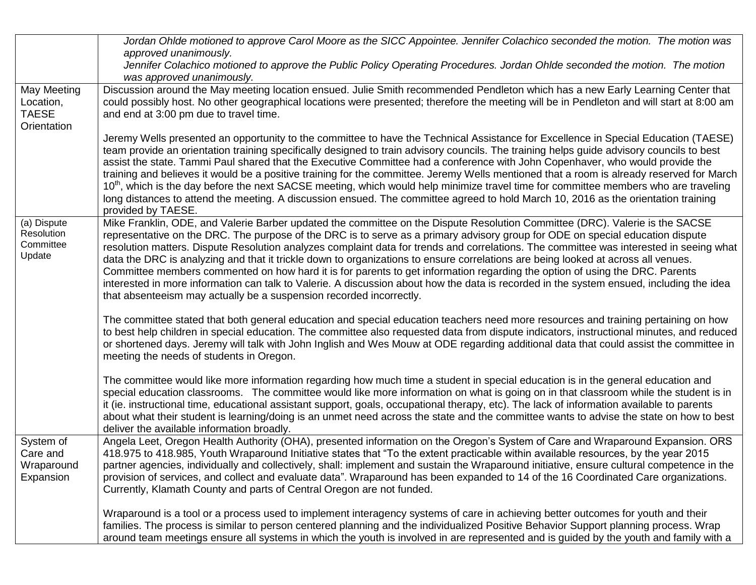|                                                         | Jordan Ohlde motioned to approve Carol Moore as the SICC Appointee. Jennifer Colachico seconded the motion. The motion was<br>approved unanimously.                                                                                                                                                                                                                                                                                                                                                                                                                                                                                                                                                                                                                                                                                                                                              |
|---------------------------------------------------------|--------------------------------------------------------------------------------------------------------------------------------------------------------------------------------------------------------------------------------------------------------------------------------------------------------------------------------------------------------------------------------------------------------------------------------------------------------------------------------------------------------------------------------------------------------------------------------------------------------------------------------------------------------------------------------------------------------------------------------------------------------------------------------------------------------------------------------------------------------------------------------------------------|
|                                                         | Jennifer Colachico motioned to approve the Public Policy Operating Procedures. Jordan Ohlde seconded the motion. The motion<br>was approved unanimously.                                                                                                                                                                                                                                                                                                                                                                                                                                                                                                                                                                                                                                                                                                                                         |
| May Meeting<br>Location,<br><b>TAESE</b><br>Orientation | Discussion around the May meeting location ensued. Julie Smith recommended Pendleton which has a new Early Learning Center that<br>could possibly host. No other geographical locations were presented; therefore the meeting will be in Pendleton and will start at 8:00 am<br>and end at 3:00 pm due to travel time.                                                                                                                                                                                                                                                                                                                                                                                                                                                                                                                                                                           |
|                                                         | Jeremy Wells presented an opportunity to the committee to have the Technical Assistance for Excellence in Special Education (TAESE)<br>team provide an orientation training specifically designed to train advisory councils. The training helps guide advisory councils to best<br>assist the state. Tammi Paul shared that the Executive Committee had a conference with John Copenhaver, who would provide the<br>training and believes it would be a positive training for the committee. Jeremy Wells mentioned that a room is already reserved for March<br>10 <sup>th</sup> , which is the day before the next SACSE meeting, which would help minimize travel time for committee members who are traveling<br>long distances to attend the meeting. A discussion ensued. The committee agreed to hold March 10, 2016 as the orientation training<br>provided by TAESE.                   |
| (a) Dispute<br>Resolution<br>Committee<br>Update        | Mike Franklin, ODE, and Valerie Barber updated the committee on the Dispute Resolution Committee (DRC). Valerie is the SACSE<br>representative on the DRC. The purpose of the DRC is to serve as a primary advisory group for ODE on special education dispute<br>resolution matters. Dispute Resolution analyzes complaint data for trends and correlations. The committee was interested in seeing what<br>data the DRC is analyzing and that it trickle down to organizations to ensure correlations are being looked at across all venues.<br>Committee members commented on how hard it is for parents to get information regarding the option of using the DRC. Parents<br>interested in more information can talk to Valerie. A discussion about how the data is recorded in the system ensued, including the idea<br>that absenteeism may actually be a suspension recorded incorrectly. |
|                                                         | The committee stated that both general education and special education teachers need more resources and training pertaining on how<br>to best help children in special education. The committee also requested data from dispute indicators, instructional minutes, and reduced<br>or shortened days. Jeremy will talk with John Inglish and Wes Mouw at ODE regarding additional data that could assist the committee in<br>meeting the needs of students in Oregon.                                                                                                                                                                                                                                                                                                                                                                                                                            |
|                                                         | The committee would like more information regarding how much time a student in special education is in the general education and<br>special education classrooms. The committee would like more information on what is going on in that classroom while the student is in<br>it (ie. instructional time, educational assistant support, goals, occupational therapy, etc). The lack of information available to parents<br>about what their student is learning/doing is an unmet need across the state and the committee wants to advise the state on how to best<br>deliver the available information broadly.                                                                                                                                                                                                                                                                                 |
| System of<br>Care and<br>Wraparound<br>Expansion        | Angela Leet, Oregon Health Authority (OHA), presented information on the Oregon's System of Care and Wraparound Expansion. ORS<br>418.975 to 418.985, Youth Wraparound Initiative states that "To the extent practicable within available resources, by the year 2015<br>partner agencies, individually and collectively, shall: implement and sustain the Wraparound initiative, ensure cultural competence in the<br>provision of services, and collect and evaluate data". Wraparound has been expanded to 14 of the 16 Coordinated Care organizations.<br>Currently, Klamath County and parts of Central Oregon are not funded.                                                                                                                                                                                                                                                              |
|                                                         | Wraparound is a tool or a process used to implement interagency systems of care in achieving better outcomes for youth and their<br>families. The process is similar to person centered planning and the individualized Positive Behavior Support planning process. Wrap<br>around team meetings ensure all systems in which the youth is involved in are represented and is guided by the youth and family with a                                                                                                                                                                                                                                                                                                                                                                                                                                                                               |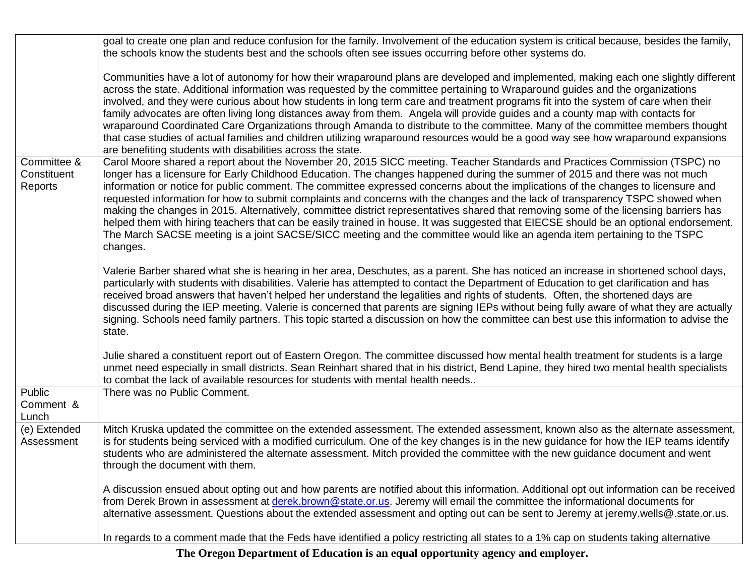|                                                             | goal to create one plan and reduce confusion for the family. Involvement of the education system is critical because, besides the family,                                                                                                                                                                                                                                                                                                                                                                                                                                                                                                                                                                                                                                                                            |
|-------------------------------------------------------------|----------------------------------------------------------------------------------------------------------------------------------------------------------------------------------------------------------------------------------------------------------------------------------------------------------------------------------------------------------------------------------------------------------------------------------------------------------------------------------------------------------------------------------------------------------------------------------------------------------------------------------------------------------------------------------------------------------------------------------------------------------------------------------------------------------------------|
|                                                             | the schools know the students best and the schools often see issues occurring before other systems do.                                                                                                                                                                                                                                                                                                                                                                                                                                                                                                                                                                                                                                                                                                               |
| are benefiting students with disabilities across the state. | Communities have a lot of autonomy for how their wraparound plans are developed and implemented, making each one slightly different<br>across the state. Additional information was requested by the committee pertaining to Wraparound guides and the organizations<br>involved, and they were curious about how students in long term care and treatment programs fit into the system of care when their<br>family advocates are often living long distances away from them. Angela will provide guides and a county map with contacts for<br>wraparound Coordinated Care Organizations through Amanda to distribute to the committee. Many of the committee members thought<br>that case studies of actual families and children utilizing wraparound resources would be a good way see how wraparound expansions |
| Committee &                                                 | Carol Moore shared a report about the November 20, 2015 SICC meeting. Teacher Standards and Practices Commission (TSPC) no                                                                                                                                                                                                                                                                                                                                                                                                                                                                                                                                                                                                                                                                                           |
| Constituent<br>Reports<br>changes.                          | longer has a licensure for Early Childhood Education. The changes happened during the summer of 2015 and there was not much<br>information or notice for public comment. The committee expressed concerns about the implications of the changes to licensure and<br>requested information for how to submit complaints and concerns with the changes and the lack of transparency TSPC showed when<br>making the changes in 2015. Alternatively, committee district representatives shared that removing some of the licensing barriers has<br>helped them with hiring teachers that can be easily trained in house. It was suggested that EIECSE should be an optional endorsement.<br>The March SACSE meeting is a joint SACSE/SICC meeting and the committee would like an agenda item pertaining to the TSPC     |
| state.                                                      | Valerie Barber shared what she is hearing in her area, Deschutes, as a parent. She has noticed an increase in shortened school days,<br>particularly with students with disabilities. Valerie has attempted to contact the Department of Education to get clarification and has<br>received broad answers that haven't helped her understand the legalities and rights of students. Often, the shortened days are<br>discussed during the IEP meeting. Valerie is concerned that parents are signing IEPs without being fully aware of what they are actually<br>signing. Schools need family partners. This topic started a discussion on how the committee can best use this information to advise the                                                                                                             |
|                                                             | Julie shared a constituent report out of Eastern Oregon. The committee discussed how mental health treatment for students is a large<br>unmet need especially in small districts. Sean Reinhart shared that in his district, Bend Lapine, they hired two mental health specialists<br>to combat the lack of available resources for students with mental health needs                                                                                                                                                                                                                                                                                                                                                                                                                                                |
| Public<br>There was no Public Comment.                      |                                                                                                                                                                                                                                                                                                                                                                                                                                                                                                                                                                                                                                                                                                                                                                                                                      |
| Comment &                                                   |                                                                                                                                                                                                                                                                                                                                                                                                                                                                                                                                                                                                                                                                                                                                                                                                                      |
| Lunch<br>(e) Extended                                       | Mitch Kruska updated the committee on the extended assessment. The extended assessment, known also as the alternate assessment,                                                                                                                                                                                                                                                                                                                                                                                                                                                                                                                                                                                                                                                                                      |
| Assessment<br>through the document with them.               | is for students being serviced with a modified curriculum. One of the key changes is in the new guidance for how the IEP teams identify<br>students who are administered the alternate assessment. Mitch provided the committee with the new guidance document and went                                                                                                                                                                                                                                                                                                                                                                                                                                                                                                                                              |
|                                                             | A discussion ensued about opting out and how parents are notified about this information. Additional opt out information can be received<br>from Derek Brown in assessment at derek.brown@state.or.us. Jeremy will email the committee the informational documents for<br>alternative assessment. Questions about the extended assessment and opting out can be sent to Jeremy at jeremy wells@.state.or.us.                                                                                                                                                                                                                                                                                                                                                                                                         |
|                                                             | In regards to a comment made that the Feds have identified a policy restricting all states to a 1% cap on students taking alternative                                                                                                                                                                                                                                                                                                                                                                                                                                                                                                                                                                                                                                                                                |

**The Oregon Department of Education is an equal opportunity agency and employer.**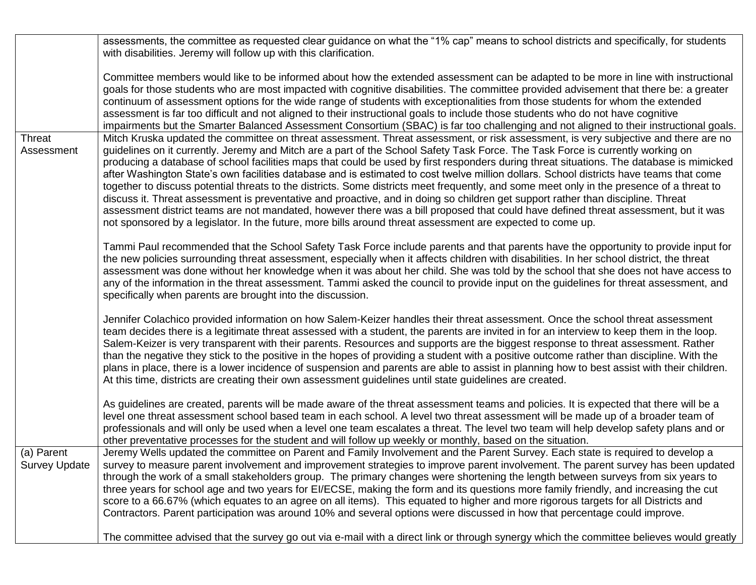|                      | assessments, the committee as requested clear guidance on what the "1% cap" means to school districts and specifically, for students        |
|----------------------|---------------------------------------------------------------------------------------------------------------------------------------------|
|                      | with disabilities. Jeremy will follow up with this clarification.                                                                           |
|                      |                                                                                                                                             |
|                      | Committee members would like to be informed about how the extended assessment can be adapted to be more in line with instructional          |
|                      | goals for those students who are most impacted with cognitive disabilities. The committee provided advisement that there be: a greater      |
|                      | continuum of assessment options for the wide range of students with exceptionalities from those students for whom the extended              |
|                      | assessment is far too difficult and not aligned to their instructional goals to include those students who do not have cognitive            |
|                      | impairments but the Smarter Balanced Assessment Consortium (SBAC) is far too challenging and not aligned to their instructional goals.      |
| Threat               | Mitch Kruska updated the committee on threat assessment. Threat assessment, or risk assessment, is very subjective and there are no         |
| Assessment           | guidelines on it currently. Jeremy and Mitch are a part of the School Safety Task Force. The Task Force is currently working on             |
|                      | producing a database of school facilities maps that could be used by first responders during threat situations. The database is mimicked    |
|                      | after Washington State's own facilities database and is estimated to cost twelve million dollars. School districts have teams that come     |
|                      | together to discuss potential threats to the districts. Some districts meet frequently, and some meet only in the presence of a threat to   |
|                      | discuss it. Threat assessment is preventative and proactive, and in doing so children get support rather than discipline. Threat            |
|                      | assessment district teams are not mandated, however there was a bill proposed that could have defined threat assessment, but it was         |
|                      | not sponsored by a legislator. In the future, more bills around threat assessment are expected to come up.                                  |
|                      | Tammi Paul recommended that the School Safety Task Force include parents and that parents have the opportunity to provide input for         |
|                      | the new policies surrounding threat assessment, especially when it affects children with disabilities. In her school district, the threat   |
|                      | assessment was done without her knowledge when it was about her child. She was told by the school that she does not have access to          |
|                      | any of the information in the threat assessment. Tammi asked the council to provide input on the guidelines for threat assessment, and      |
|                      | specifically when parents are brought into the discussion.                                                                                  |
|                      |                                                                                                                                             |
|                      | Jennifer Colachico provided information on how Salem-Keizer handles their threat assessment. Once the school threat assessment              |
|                      | team decides there is a legitimate threat assessed with a student, the parents are invited in for an interview to keep them in the loop.    |
|                      | Salem-Keizer is very transparent with their parents. Resources and supports are the biggest response to threat assessment. Rather           |
|                      | than the negative they stick to the positive in the hopes of providing a student with a positive outcome rather than discipline. With the   |
|                      | plans in place, there is a lower incidence of suspension and parents are able to assist in planning how to best assist with their children. |
|                      | At this time, districts are creating their own assessment guidelines until state guidelines are created.                                    |
|                      |                                                                                                                                             |
|                      | As guidelines are created, parents will be made aware of the threat assessment teams and policies. It is expected that there will be a      |
|                      | level one threat assessment school based team in each school. A level two threat assessment will be made up of a broader team of            |
|                      | professionals and will only be used when a level one team escalates a threat. The level two team will help develop safety plans and or      |
|                      | other preventative processes for the student and will follow up weekly or monthly, based on the situation.                                  |
| (a) Parent           | Jeremy Wells updated the committee on Parent and Family Involvement and the Parent Survey. Each state is required to develop a              |
| <b>Survey Update</b> | survey to measure parent involvement and improvement strategies to improve parent involvement. The parent survey has been updated           |
|                      | through the work of a small stakeholders group. The primary changes were shortening the length between surveys from six years to            |
|                      | three years for school age and two years for EI/ECSE, making the form and its questions more family friendly, and increasing the cut        |
|                      | score to a 66.67% (which equates to an agree on all items). This equated to higher and more rigorous targets for all Districts and          |
|                      | Contractors. Parent participation was around 10% and several options were discussed in how that percentage could improve.                   |
|                      | The committee advised that the survey go out via e-mail with a direct link or through synergy which the committee believes would greatly    |